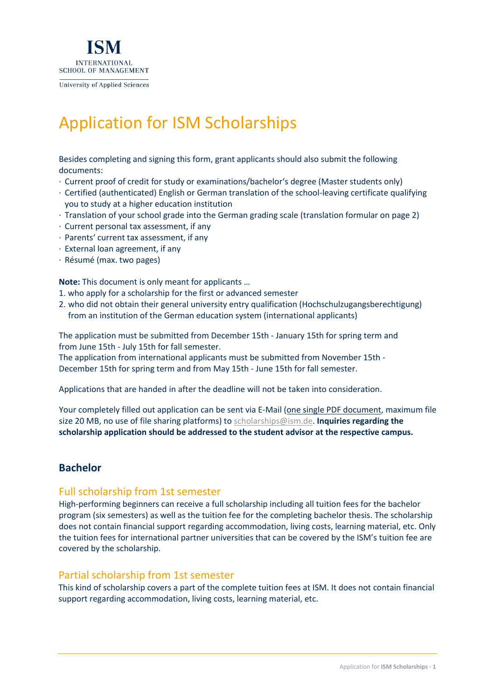

Application for ISM Scholarships

Besides completing and signing this form, grant applicants should also submit the following documents:

- · Current proof of credit for study or examinations/bachelor's degree (Master students only)
- · Certified (authenticated) English or German translation of the school-leaving certificate qualifying you to study at a higher education institution
- · Translation of your school grade into the German grading scale (translation formular on page 2)
- · Current personal tax assessment, if any
- · Parents' current tax assessment, if any
- · External loan agreement, if any
- · Résumé (max. two pages)

**Note:** This document is only meant for applicants …

1. who apply for a scholarship for the first or advanced semester

2. who did not obtain their general university entry qualification (Hochschulzugangsberechtigung) from an institution of the German education system (international applicants)

The application must be submitted from December 15th - January 15th for spring term and from June 15th - July 15th for fall semester.

The application from international applicants must be submitted from November 15th - December 15th for spring term and from May 15th - June 15th for fall semester.

Applications that are handed in after the deadline will not be taken into consideration.

Your completely filled out application can be sent via E-Mail (one single PDF document, maximum file size 20 MB, no use of file sharing platforms) to scholarships@ism.de. **Inquiries regarding the scholarship application should be addressed to the student advisor at the respective campus.**

### **Bachelor**

### Full scholarship from 1st semester

High-performing beginners can receive a full scholarship including all tuition fees for the bachelor program (six semesters) as well as the tuition fee for the completing bachelor thesis. The scholarship does not contain financial support regarding accommodation, living costs, learning material, etc. Only the tuition fees for international partner universities that can be covered by the ISM's tuition fee are covered by the scholarship.

### Partial scholarship from 1st semester

This kind of scholarship covers a part of the complete tuition fees at ISM. It does not contain financial support regarding accommodation, living costs, learning material, etc.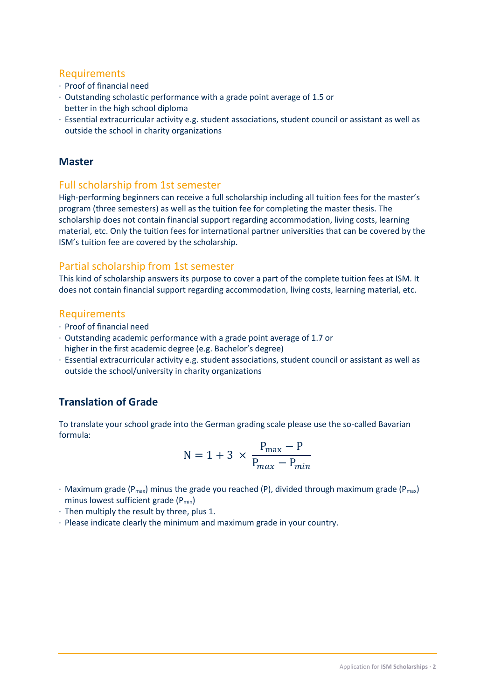### Requirements

- · Proof of financial need
- · Outstanding scholastic performance with a grade point average of 1.5 or better in the high school diploma
- · Essential extracurricular activity e.g. student associations, student council or assistant as well as outside the school in charity organizations

# **Master**

# Full scholarship from 1st semester

High-performing beginners can receive a full scholarship including all tuition fees for the master's program (three semesters) as well as the tuition fee for completing the master thesis. The scholarship does not contain financial support regarding accommodation, living costs, learning material, etc. Only the tuition fees for international partner universities that can be covered by the ISM's tuition fee are covered by the scholarship.

# Partial scholarship from 1st semester

This kind of scholarship answers its purpose to cover a part of the complete tuition fees at ISM. It does not contain financial support regarding accommodation, living costs, learning material, etc.

### Requirements

- · Proof of financial need
- · Outstanding academic performance with a grade point average of 1.7 or higher in the first academic degree (e.g. Bachelor's degree)
- · Essential extracurricular activity e.g. student associations, student council or assistant as well as outside the school/university in charity organizations

# **Translation of Grade**

To translate your school grade into the German grading scale please use the so-called Bavarian formula:

$$
N = 1 + 3 \times \frac{P_{\text{max}} - P}{P_{\text{max}} - P_{\text{min}}}
$$

- $\cdot$  Maximum grade (P<sub>max</sub>) minus the grade you reached (P), divided through maximum grade (P<sub>max</sub>) minus lowest sufficient grade (P<sub>min</sub>)
- · Then multiply the result by three, plus 1.
- · Please indicate clearly the minimum and maximum grade in your country.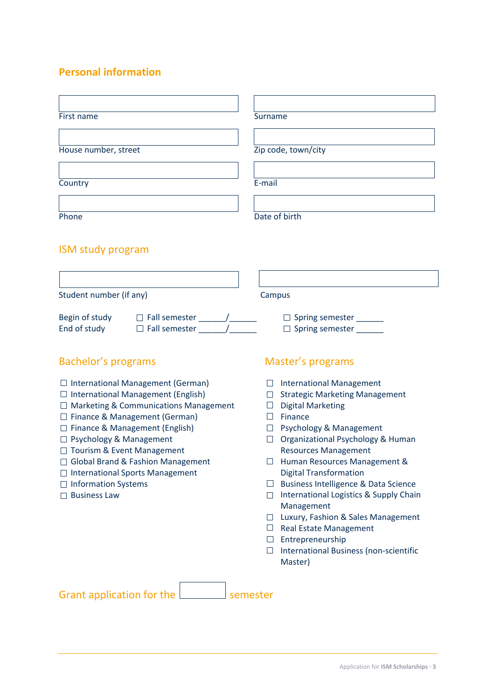# **Personal information**

| First name                                                                                                                                                                                                                                                                                                                                                                                                      | Surname                                                                                                                                                                                                                                                                                                                                                                                                                                                                                                                                                                                 |  |  |
|-----------------------------------------------------------------------------------------------------------------------------------------------------------------------------------------------------------------------------------------------------------------------------------------------------------------------------------------------------------------------------------------------------------------|-----------------------------------------------------------------------------------------------------------------------------------------------------------------------------------------------------------------------------------------------------------------------------------------------------------------------------------------------------------------------------------------------------------------------------------------------------------------------------------------------------------------------------------------------------------------------------------------|--|--|
| House number, street                                                                                                                                                                                                                                                                                                                                                                                            | Zip code, town/city                                                                                                                                                                                                                                                                                                                                                                                                                                                                                                                                                                     |  |  |
| Country                                                                                                                                                                                                                                                                                                                                                                                                         | E-mail                                                                                                                                                                                                                                                                                                                                                                                                                                                                                                                                                                                  |  |  |
| Phone                                                                                                                                                                                                                                                                                                                                                                                                           | Date of birth                                                                                                                                                                                                                                                                                                                                                                                                                                                                                                                                                                           |  |  |
| <b>ISM study program</b>                                                                                                                                                                                                                                                                                                                                                                                        |                                                                                                                                                                                                                                                                                                                                                                                                                                                                                                                                                                                         |  |  |
| Student number (if any)                                                                                                                                                                                                                                                                                                                                                                                         | Campus                                                                                                                                                                                                                                                                                                                                                                                                                                                                                                                                                                                  |  |  |
|                                                                                                                                                                                                                                                                                                                                                                                                                 | $\Box$ Spring semester ______<br>□ Spring semester                                                                                                                                                                                                                                                                                                                                                                                                                                                                                                                                      |  |  |
| <b>Bachelor's programs</b>                                                                                                                                                                                                                                                                                                                                                                                      | Master's programs                                                                                                                                                                                                                                                                                                                                                                                                                                                                                                                                                                       |  |  |
| $\Box$ International Management (German)<br>$\Box$ International Management (English)<br>$\Box$ Marketing & Communications Management<br>$\Box$ Finance & Management (German)<br>□ Finance & Management (English)<br>□ Psychology & Management<br>□ Tourism & Event Management<br>□ Global Brand & Fashion Management<br>□ International Sports Management<br>$\Box$ Information Systems<br>$\Box$ Business Law | <b>International Management</b><br><b>Strategic Marketing Management</b><br>⊔<br><b>Digital Marketing</b><br>Finance<br>$\Box$ Psychology & Management<br>□ Organizational Psychology & Human<br><b>Resources Management</b><br>Human Resources Management &<br><b>Digital Transformation</b><br>Business Intelligence & Data Science<br>⊔<br>International Logistics & Supply Chain<br><b>In the Second State</b><br>Management<br>Luxury, Fashion & Sales Management<br>$\Box$ Real Estate Management<br>$\Box$ Entrepreneurship<br>International Business (non-scientific<br>Master) |  |  |
| Grant application for the                                                                                                                                                                                                                                                                                                                                                                                       | semester                                                                                                                                                                                                                                                                                                                                                                                                                                                                                                                                                                                |  |  |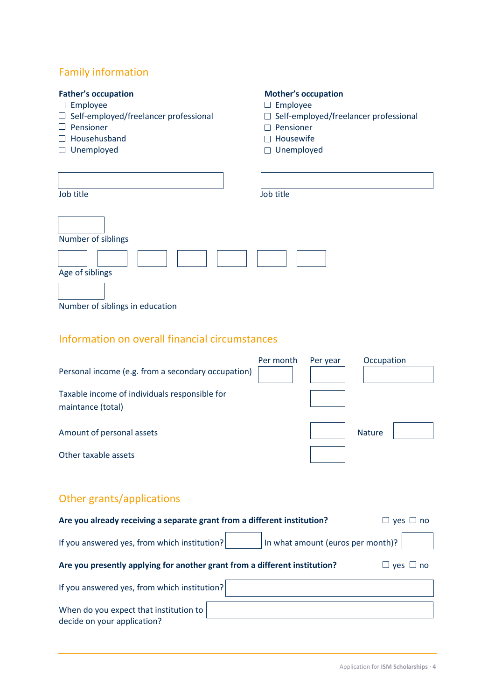# Family information

# **Father's occupation Mother's occupation**

- 
- $\Box$  Employee<br>  $\Box$  Employee<br>  $\Box$  Self-employed/freelancer professional  $\Box$  Self-emplo  $\Box$  Self-employed/freelancer professional  $\Box$  Self-employed/freelancer professional  $\Box$  Pensioner
- 
- $\Box$  Househusband  $\Box$  Housewife
- □ Unemployed and Unemployed

- 
- 
- $\Box$  Pensioner
- 
- 

| Job title                       | Job title |
|---------------------------------|-----------|
| Number of siblings              |           |
| Age of siblings                 |           |
| Number of siblings in education |           |
|                                 |           |

# Information on overall financial circumstances

| Personal income (e.g. from a secondary occupation)                                                     | Per month | Per year | Occupation    |
|--------------------------------------------------------------------------------------------------------|-----------|----------|---------------|
| Taxable income of individuals responsible for<br>maintance (total)                                     |           |          |               |
| Amount of personal assets                                                                              |           |          | <b>Nature</b> |
| Other taxable assets                                                                                   |           |          |               |
| Other grants/applications                                                                              |           |          |               |
| Are vou already receiving a conarate grant from a different institution?<br>$\sqrt{2}$<br>$n_{\Omega}$ |           |          |               |

| Are you aiready receiving a separate grant from a different institution?                      |                                   | $\Box$ ves $\Box$ no |  |
|-----------------------------------------------------------------------------------------------|-----------------------------------|----------------------|--|
| If you answered yes, from which institution?                                                  | In what amount (euros per month)? |                      |  |
| Are you presently applying for another grant from a different institution?<br>$ves \sqcup no$ |                                   |                      |  |
| If you answered yes, from which institution?                                                  |                                   |                      |  |
| When do you expect that institution to<br>decide on your application?                         |                                   |                      |  |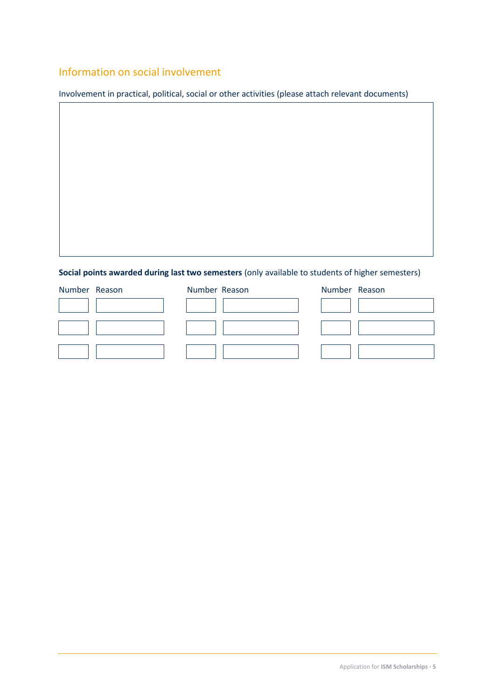# Information on social involvement

Involvement in practical, political, social or other activities (please attach relevant documents)

# **Social points awarded during last two semesters** (only available to students of higher semesters)

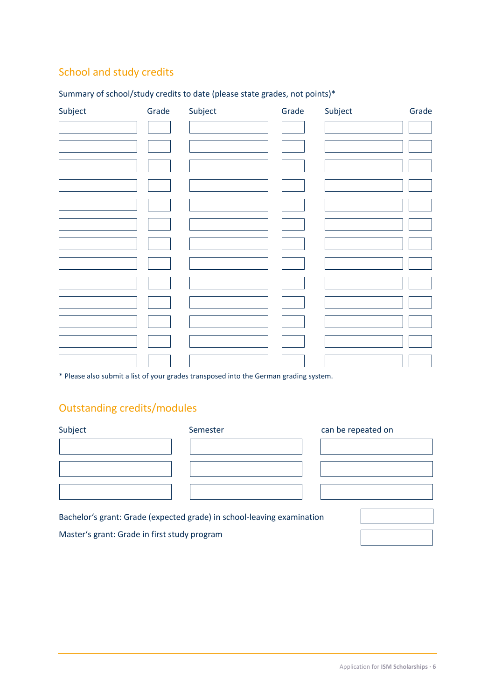# School and study credits

| Subject | Grade | Subject | Grade | Subject | Grade |
|---------|-------|---------|-------|---------|-------|
|         |       |         |       |         |       |
|         |       |         |       |         |       |
|         |       |         |       |         |       |
|         |       |         |       |         |       |
|         |       |         |       |         |       |
|         |       |         |       |         |       |
|         |       |         |       |         |       |
|         |       |         |       |         |       |
|         |       |         |       |         |       |
|         |       |         |       |         |       |
|         |       |         |       |         |       |
|         |       |         |       |         |       |
|         |       |         |       |         |       |

# Summary of school/study credits to date (please state grades, not points)\*

\* Please also submit a list of your grades transposed into the German grading system.

# Outstanding credits/modules

| Subject | Semester | can be repeated on |
|---------|----------|--------------------|
|         |          |                    |
|         |          |                    |
|         |          |                    |
|         |          |                    |

Bachelor's grant: Grade (expected grade) in school-leaving examination

Master's grant: Grade in first study program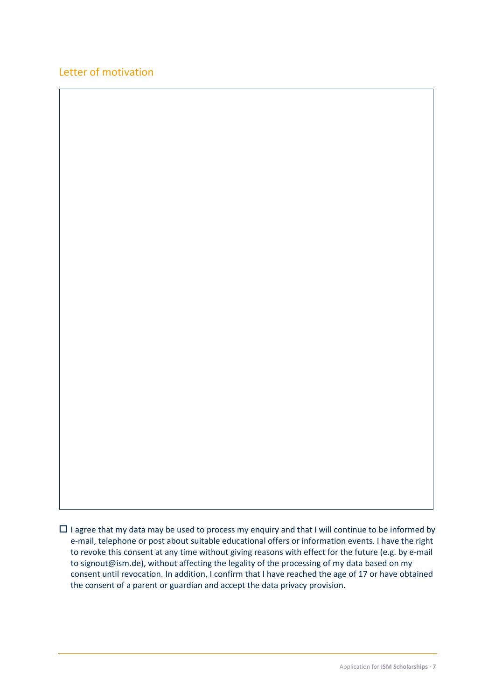# Letter of motivation

 $\Box$  I agree that my data may be used to process my enquiry and that I will continue to be informed by e-mail, telephone or post about suitable educational offers or information events. I have the right to revoke this consent at any time without giving reasons with effect for the future (e.g. by e-mail to signout@ism.de), without affecting the legality of the processing of my data based on my consent until revocation. In addition, I confirm that I have reached the age of 17 or have obtained the consent of a parent or guardian and accept the data privacy provision.